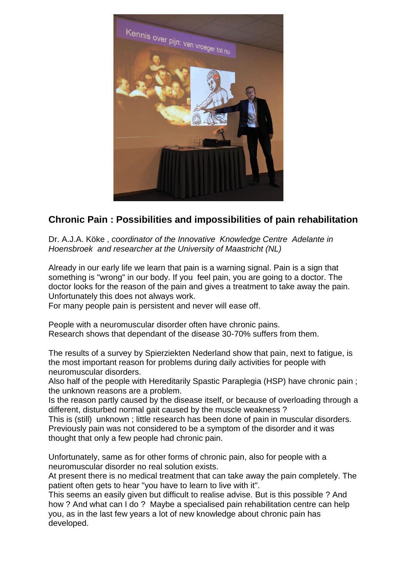

## **Chronic Pain : Possibilities and impossibilities of pain rehabilitation**

Dr. A.J.A. Köke , *coordinator of the Innovative Knowledge Centre Adelante in Hoensbroek and researcher at the University of Maastricht (NL)*

Already in our early life we learn that pain is a warning signal. Pain is a sign that something is "wrong" in our body. If you feel pain, you are going to a doctor. The doctor looks for the reason of the pain and gives a treatment to take away the pain. Unfortunately this does not always work.

For many people pain is persistent and never will ease off.

People with a neuromuscular disorder often have chronic pains. Research shows that dependant of the disease 30-70% suffers from them.

The results of a survey by Spierziekten Nederland show that pain, next to fatigue, is the most important reason for problems during daily activities for people with neuromuscular disorders.

Also half of the people with Hereditarily Spastic Paraplegia (HSP) have chronic pain ; the unknown reasons are a problem.

Is the reason partly caused by the disease itself, or because of overloading through a different, disturbed normal gait caused by the muscle weakness ?

This is (still) unknown ; little research has been done of pain in muscular disorders. Previously pain was not considered to be a symptom of the disorder and it was thought that only a few people had chronic pain.

Unfortunately, same as for other forms of chronic pain, also for people with a neuromuscular disorder no real solution exists.

At present there is no medical treatment that can take away the pain completely. The patient often gets to hear "you have to learn to live with it".

This seems an easily given but difficult to realise advise. But is this possible ? And how ? And what can I do ? Maybe a specialised pain rehabilitation centre can help you, as in the last few years a lot of new knowledge about chronic pain has developed.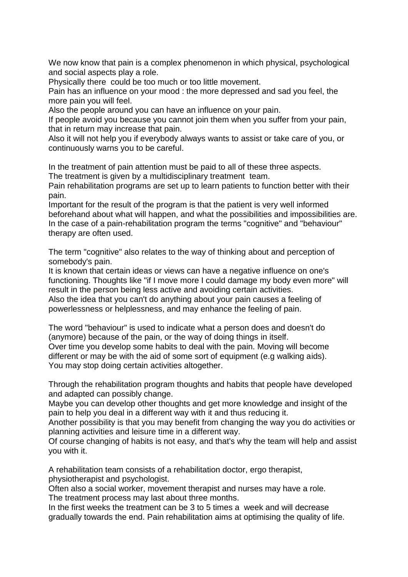We now know that pain is a complex phenomenon in which physical, psychological and social aspects play a role.

Physically there could be too much or too little movement.

Pain has an influence on your mood : the more depressed and sad you feel, the more pain you will feel.

Also the people around you can have an influence on your pain.

If people avoid you because you cannot join them when you suffer from your pain, that in return may increase that pain.

Also it will not help you if everybody always wants to assist or take care of you, or continuously warns you to be careful.

In the treatment of pain attention must be paid to all of these three aspects. The treatment is given by a multidisciplinary treatment team.

Pain rehabilitation programs are set up to learn patients to function better with their pain.

Important for the result of the program is that the patient is very well informed beforehand about what will happen, and what the possibilities and impossibilities are. In the case of a pain-rehabilitation program the terms "cognitive" and "behaviour" therapy are often used.

The term "cognitive" also relates to the way of thinking about and perception of somebody's pain.

It is known that certain ideas or views can have a negative influence on one's functioning. Thoughts like "if I move more I could damage my body even more" will result in the person being less active and avoiding certain activities. Also the idea that you can't do anything about your pain causes a feeling of powerlessness or helplessness, and may enhance the feeling of pain.

The word "behaviour" is used to indicate what a person does and doesn't do (anymore) because of the pain, or the way of doing things in itself.

Over time you develop some habits to deal with the pain. Moving will become different or may be with the aid of some sort of equipment (e.g walking aids). You may stop doing certain activities altogether.

Through the rehabilitation program thoughts and habits that people have developed and adapted can possibly change.

Maybe you can develop other thoughts and get more knowledge and insight of the pain to help you deal in a different way with it and thus reducing it.

Another possibility is that you may benefit from changing the way you do activities or planning activities and leisure time in a different way.

Of course changing of habits is not easy, and that's why the team will help and assist you with it.

A rehabilitation team consists of a rehabilitation doctor, ergo therapist, physiotherapist and psychologist.

Often also a social worker, movement therapist and nurses may have a role.

The treatment process may last about three months.

In the first weeks the treatment can be 3 to 5 times a week and will decrease gradually towards the end. Pain rehabilitation aims at optimising the quality of life.